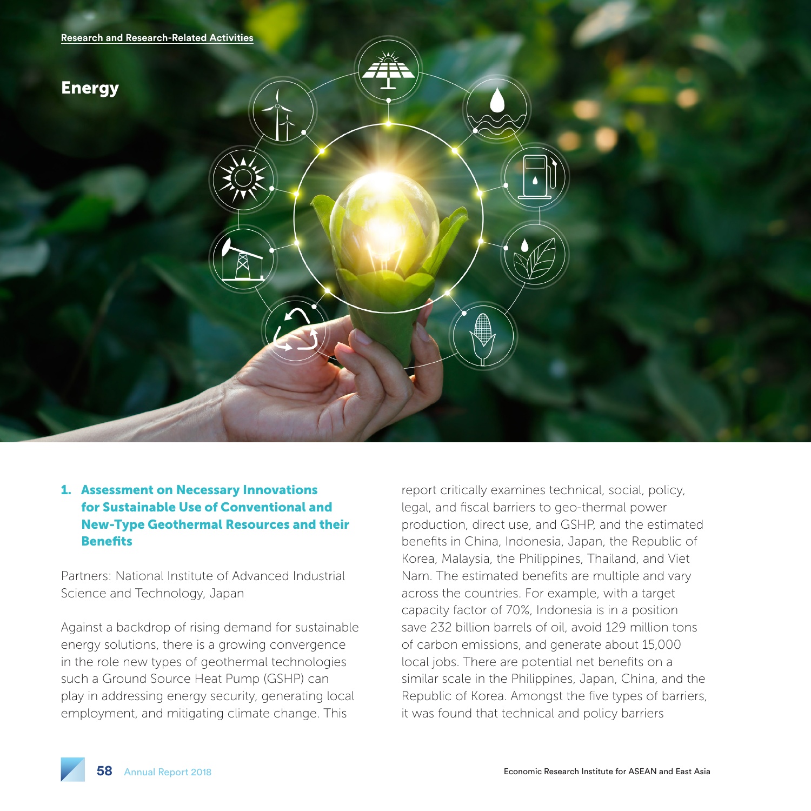

# 1. Assessment on Necessary Innovations for Sustainable Use of Conventional and New-Type Geothermal Resources and their **Benefits**

Partners: National Institute of Advanced Industrial Science and Technology, Japan

Against a backdrop of rising demand for sustainable energy solutions, there is a growing convergence in the role new types of geothermal technologies such a Ground Source Heat Pump (GSHP) can play in addressing energy security, generating local employment, and mitigating climate change. This

report critically examines technical, social, policy, legal, and fiscal barriers to geo-thermal power production, direct use, and GSHP, and the estimated benefits in China, Indonesia, Japan, the Republic of Korea, Malaysia, the Philippines, Thailand, and Viet Nam. The estimated benefits are multiple and vary across the countries. For example, with a target capacity factor of 70%, Indonesia is in a position save 232 billion barrels of oil, avoid 129 million tons of carbon emissions, and generate about 15,000 local jobs. There are potential net benefits on a similar scale in the Philippines, Japan, China, and the Republic of Korea. Amongst the five types of barriers, it was found that technical and policy barriers

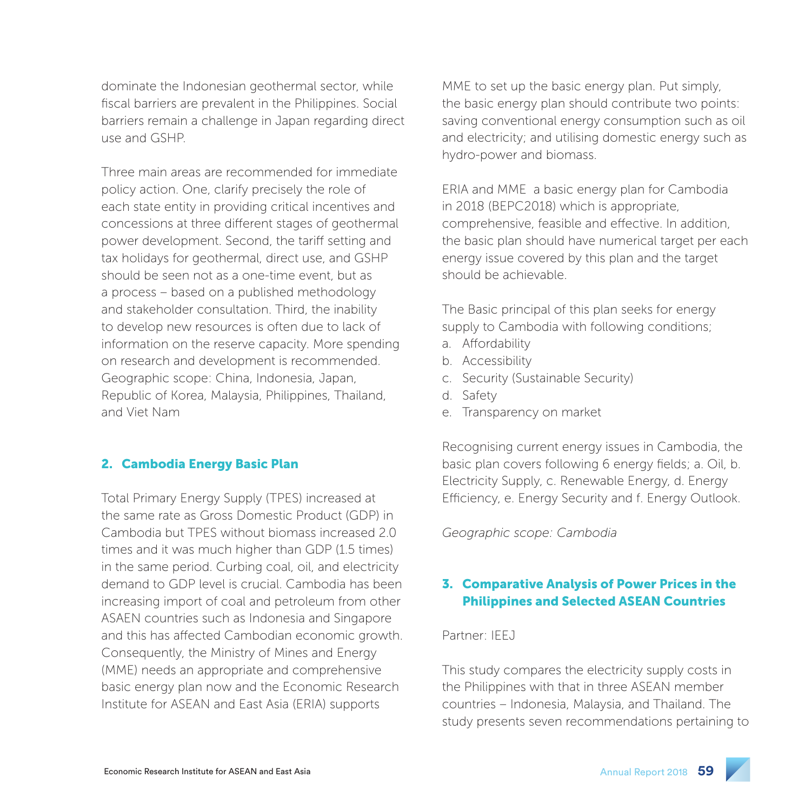dominate the Indonesian geothermal sector, while fiscal barriers are prevalent in the Philippines. Social barriers remain a challenge in Japan regarding direct use and GSHP.

Three main areas are recommended for immediate policy action. One, clarify precisely the role of each state entity in providing critical incentives and concessions at three different stages of geothermal power development. Second, the tariff setting and tax holidays for geothermal, direct use, and GSHP should be seen not as a one-time event, but as a process – based on a published methodology and stakeholder consultation. Third, the inability to develop new resources is often due to lack of information on the reserve capacity. More spending on research and development is recommended. Geographic scope: China, Indonesia, Japan, Republic of Korea, Malaysia, Philippines, Thailand, and Viet Nam

### 2. Cambodia Energy Basic Plan

Total Primary Energy Supply (TPES) increased at the same rate as Gross Domestic Product (GDP) in Cambodia but TPES without biomass increased 2.0 times and it was much higher than GDP (1.5 times) in the same period. Curbing coal, oil, and electricity demand to GDP level is crucial. Cambodia has been increasing import of coal and petroleum from other ASAEN countries such as Indonesia and Singapore and this has affected Cambodian economic growth. Consequently, the Ministry of Mines and Energy (MME) needs an appropriate and comprehensive basic energy plan now and the Economic Research Institute for ASEAN and East Asia (ERIA) supports

MME to set up the basic energy plan. Put simply, the basic energy plan should contribute two points: saving conventional energy consumption such as oil and electricity; and utilising domestic energy such as hydro-power and biomass.

ERIA and MME a basic energy plan for Cambodia in 2018 (BEPC2018) which is appropriate, comprehensive, feasible and effective. In addition, the basic plan should have numerical target per each energy issue covered by this plan and the target should be achievable.

The Basic principal of this plan seeks for energy supply to Cambodia with following conditions;

- a. Affordability
- b. Accessibility
- c. Security (Sustainable Security)
- d. Safety
- e. Transparency on market

Recognising current energy issues in Cambodia, the basic plan covers following 6 energy fields; a. Oil, b. Electricity Supply, c. Renewable Energy, d. Energy Efficiency, e. Energy Security and f. Energy Outlook.

*Geographic scope: Cambodia*

### 3. Comparative Analysis of Power Prices in the Philippines and Selected ASEAN Countries

### Partner: IEEJ

This study compares the electricity supply costs in the Philippines with that in three ASEAN member countries – Indonesia, Malaysia, and Thailand. The study presents seven recommendations pertaining to

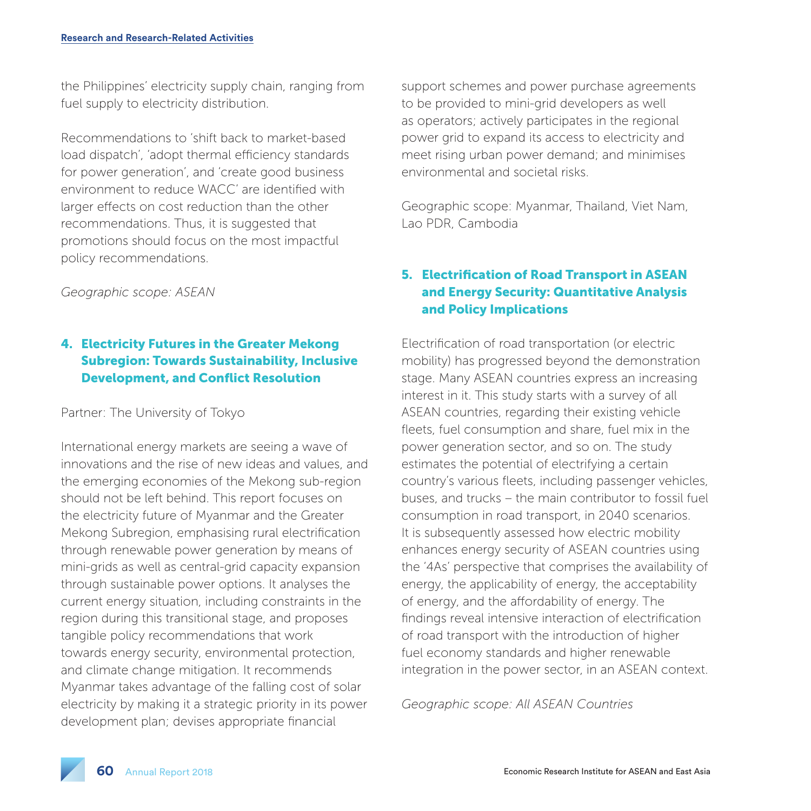the Philippines' electricity supply chain, ranging from fuel supply to electricity distribution.

Recommendations to 'shift back to market-based load dispatch', 'adopt thermal efficiency standards for power generation', and 'create good business environment to reduce WACC' are identified with larger effects on cost reduction than the other recommendations. Thus, it is suggested that promotions should focus on the most impactful policy recommendations.

*Geographic scope: ASEAN*

# 4. Electricity Futures in the Greater Mekong Subregion: Towards Sustainability, Inclusive Development, and Conflict Resolution

### Partner: The University of Tokyo

International energy markets are seeing a wave of innovations and the rise of new ideas and values, and the emerging economies of the Mekong sub-region should not be left behind. This report focuses on the electricity future of Myanmar and the Greater Mekong Subregion, emphasising rural electrification through renewable power generation by means of mini-grids as well as central-grid capacity expansion through sustainable power options. It analyses the current energy situation, including constraints in the region during this transitional stage, and proposes tangible policy recommendations that work towards energy security, environmental protection, and climate change mitigation. It recommends Myanmar takes advantage of the falling cost of solar electricity by making it a strategic priority in its power development plan; devises appropriate financial

support schemes and power purchase agreements to be provided to mini-grid developers as well as operators; actively participates in the regional power grid to expand its access to electricity and meet rising urban power demand; and minimises environmental and societal risks.

Geographic scope: Myanmar, Thailand, Viet Nam, Lao PDR, Cambodia

## 5. Electrification of Road Transport in ASEAN and Energy Security: Quantitative Analysis and Policy Implications

Electrification of road transportation (or electric mobility) has progressed beyond the demonstration stage. Many ASEAN countries express an increasing interest in it. This study starts with a survey of all ASEAN countries, regarding their existing vehicle fleets, fuel consumption and share, fuel mix in the power generation sector, and so on. The study estimates the potential of electrifying a certain country's various fleets, including passenger vehicles, buses, and trucks – the main contributor to fossil fuel consumption in road transport, in 2040 scenarios. It is subsequently assessed how electric mobility enhances energy security of ASEAN countries using the '4As' perspective that comprises the availability of energy, the applicability of energy, the acceptability of energy, and the affordability of energy. The findings reveal intensive interaction of electrification of road transport with the introduction of higher fuel economy standards and higher renewable integration in the power sector, in an ASEAN context.

*Geographic scope: All ASEAN Countries*

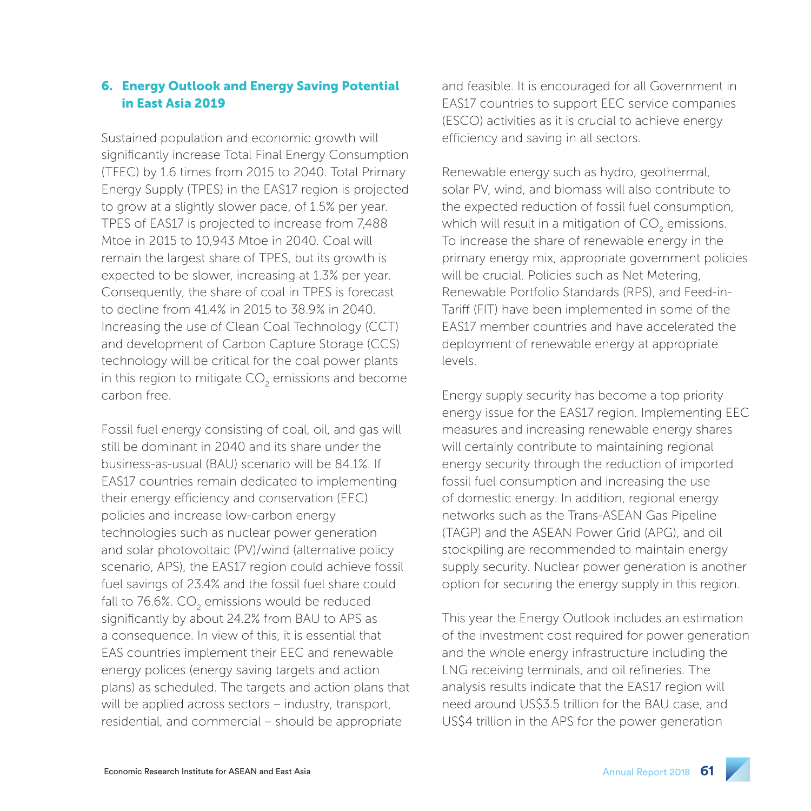### 6. Energy Outlook and Energy Saving Potential in East Asia 2019

Sustained population and economic growth will significantly increase Total Final Energy Consumption (TFEC) by 1.6 times from 2015 to 2040. Total Primary Energy Supply (TPES) in the EAS17 region is projected to grow at a slightly slower pace, of 1.5% per year. TPES of EAS17 is projected to increase from 7,488 Mtoe in 2015 to 10,943 Mtoe in 2040. Coal will remain the largest share of TPES, but its growth is expected to be slower, increasing at 1.3% per year. Consequently, the share of coal in TPES is forecast to decline from 41.4% in 2015 to 38.9% in 2040. Increasing the use of Clean Coal Technology (CCT) and development of Carbon Capture Storage (CCS) technology will be critical for the coal power plants in this region to mitigate CO<sub>2</sub> emissions and become carbon free.

Fossil fuel energy consisting of coal, oil, and gas will still be dominant in 2040 and its share under the business-as-usual (BAU) scenario will be 84.1%. If EAS17 countries remain dedicated to implementing their energy efficiency and conservation (EEC) policies and increase low-carbon energy technologies such as nuclear power generation and solar photovoltaic (PV)/wind (alternative policy scenario, APS), the EAS17 region could achieve fossil fuel savings of 23.4% and the fossil fuel share could fall to 76.6%. CO<sub>2</sub> emissions would be reduced significantly by about 24.2% from BAU to APS as a consequence. In view of this, it is essential that EAS countries implement their EEC and renewable energy polices (energy saving targets and action plans) as scheduled. The targets and action plans that will be applied across sectors – industry, transport, residential, and commercial – should be appropriate

and feasible. It is encouraged for all Government in EAS17 countries to support EEC service companies (ESCO) activities as it is crucial to achieve energy efficiency and saving in all sectors.

Renewable energy such as hydro, geothermal, solar PV, wind, and biomass will also contribute to the expected reduction of fossil fuel consumption, which will result in a mitigation of CO<sub>2</sub> emissions. To increase the share of renewable energy in the primary energy mix, appropriate government policies will be crucial. Policies such as Net Metering, Renewable Portfolio Standards (RPS), and Feed-in-Tariff (FIT) have been implemented in some of the EAS17 member countries and have accelerated the deployment of renewable energy at appropriate levels.

Energy supply security has become a top priority energy issue for the EAS17 region. Implementing EEC measures and increasing renewable energy shares will certainly contribute to maintaining regional energy security through the reduction of imported fossil fuel consumption and increasing the use of domestic energy. In addition, regional energy networks such as the Trans-ASEAN Gas Pipeline (TAGP) and the ASEAN Power Grid (APG), and oil stockpiling are recommended to maintain energy supply security. Nuclear power generation is another option for securing the energy supply in this region.

This year the Energy Outlook includes an estimation of the investment cost required for power generation and the whole energy infrastructure including the LNG receiving terminals, and oil refineries. The analysis results indicate that the EAS17 region will need around US\$3.5 trillion for the BAU case, and US\$4 trillion in the APS for the power generation

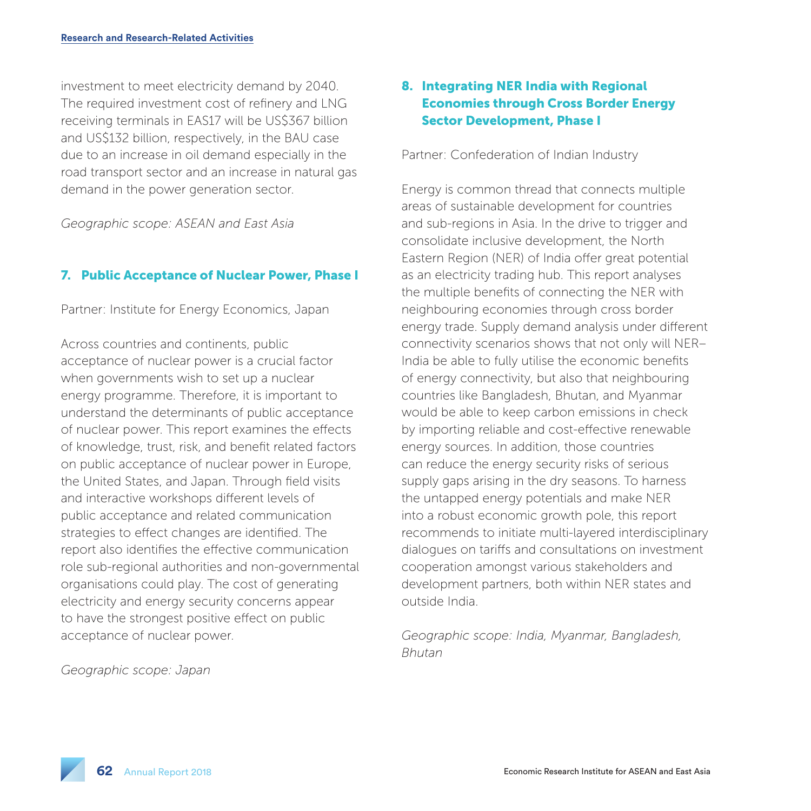investment to meet electricity demand by 2040. The required investment cost of refinery and LNG receiving terminals in EAS17 will be US\$367 billion and US\$132 billion, respectively, in the BAU case due to an increase in oil demand especially in the road transport sector and an increase in natural gas demand in the power generation sector.

*Geographic scope: ASEAN and East Asia*

#### 7. Public Acceptance of Nuclear Power, Phase I

Partner: Institute for Energy Economics, Japan

Across countries and continents, public acceptance of nuclear power is a crucial factor when governments wish to set up a nuclear energy programme. Therefore, it is important to understand the determinants of public acceptance of nuclear power. This report examines the effects of knowledge, trust, risk, and benefit related factors on public acceptance of nuclear power in Europe, the United States, and Japan. Through field visits and interactive workshops different levels of public acceptance and related communication strategies to effect changes are identified. The report also identifies the effective communication role sub-regional authorities and non-governmental organisations could play. The cost of generating electricity and energy security concerns appear to have the strongest positive effect on public acceptance of nuclear power.

*Geographic scope: Japan*

# 8. Integrating NER India with Regional Economies through Cross Border Energy Sector Development, Phase I

Partner: Confederation of Indian Industry

Energy is common thread that connects multiple areas of sustainable development for countries and sub-regions in Asia. In the drive to trigger and consolidate inclusive development, the North Eastern Region (NER) of India offer great potential as an electricity trading hub. This report analyses the multiple benefits of connecting the NER with neighbouring economies through cross border energy trade. Supply demand analysis under different connectivity scenarios shows that not only will NER– India be able to fully utilise the economic benefits of energy connectivity, but also that neighbouring countries like Bangladesh, Bhutan, and Myanmar would be able to keep carbon emissions in check by importing reliable and cost-effective renewable energy sources. In addition, those countries can reduce the energy security risks of serious supply gaps arising in the dry seasons. To harness the untapped energy potentials and make NER into a robust economic growth pole, this report recommends to initiate multi-layered interdisciplinary dialogues on tariffs and consultations on investment cooperation amongst various stakeholders and development partners, both within NER states and outside India.

*Geographic scope: India, Myanmar, Bangladesh, Bhutan*

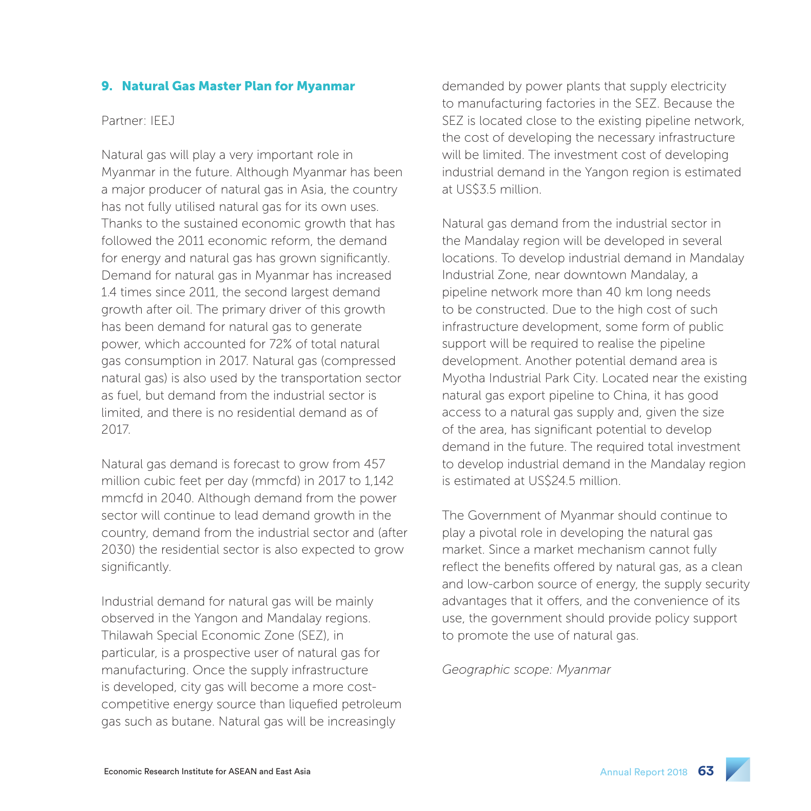### 9. Natural Gas Master Plan for Myanmar

#### Partner: IEEJ

Natural gas will play a very important role in Myanmar in the future. Although Myanmar has been a major producer of natural gas in Asia, the country has not fully utilised natural gas for its own uses. Thanks to the sustained economic growth that has followed the 2011 economic reform, the demand for energy and natural gas has grown significantly. Demand for natural gas in Myanmar has increased 1.4 times since 2011, the second largest demand growth after oil. The primary driver of this growth has been demand for natural gas to generate power, which accounted for 72% of total natural gas consumption in 2017. Natural gas (compressed natural gas) is also used by the transportation sector as fuel, but demand from the industrial sector is limited, and there is no residential demand as of 2017.

Natural gas demand is forecast to grow from 457 million cubic feet per day (mmcfd) in 2017 to 1,142 mmcfd in 2040. Although demand from the power sector will continue to lead demand growth in the country, demand from the industrial sector and (after 2030) the residential sector is also expected to grow significantly.

Industrial demand for natural gas will be mainly observed in the Yangon and Mandalay regions. Thilawah Special Economic Zone (SEZ), in particular, is a prospective user of natural gas for manufacturing. Once the supply infrastructure is developed, city gas will become a more costcompetitive energy source than liquefied petroleum gas such as butane. Natural gas will be increasingly

demanded by power plants that supply electricity to manufacturing factories in the SEZ. Because the SEZ is located close to the existing pipeline network, the cost of developing the necessary infrastructure will be limited. The investment cost of developing industrial demand in the Yangon region is estimated at US\$3.5 million.

Natural gas demand from the industrial sector in the Mandalay region will be developed in several locations. To develop industrial demand in Mandalay Industrial Zone, near downtown Mandalay, a pipeline network more than 40 km long needs to be constructed. Due to the high cost of such infrastructure development, some form of public support will be required to realise the pipeline development. Another potential demand area is Myotha Industrial Park City. Located near the existing natural gas export pipeline to China, it has good access to a natural gas supply and, given the size of the area, has significant potential to develop demand in the future. The required total investment to develop industrial demand in the Mandalay region is estimated at US\$24.5 million.

The Government of Myanmar should continue to play a pivotal role in developing the natural gas market. Since a market mechanism cannot fully reflect the benefits offered by natural gas, as a clean and low-carbon source of energy, the supply security advantages that it offers, and the convenience of its use, the government should provide policy support to promote the use of natural gas.

*Geographic scope: Myanmar*

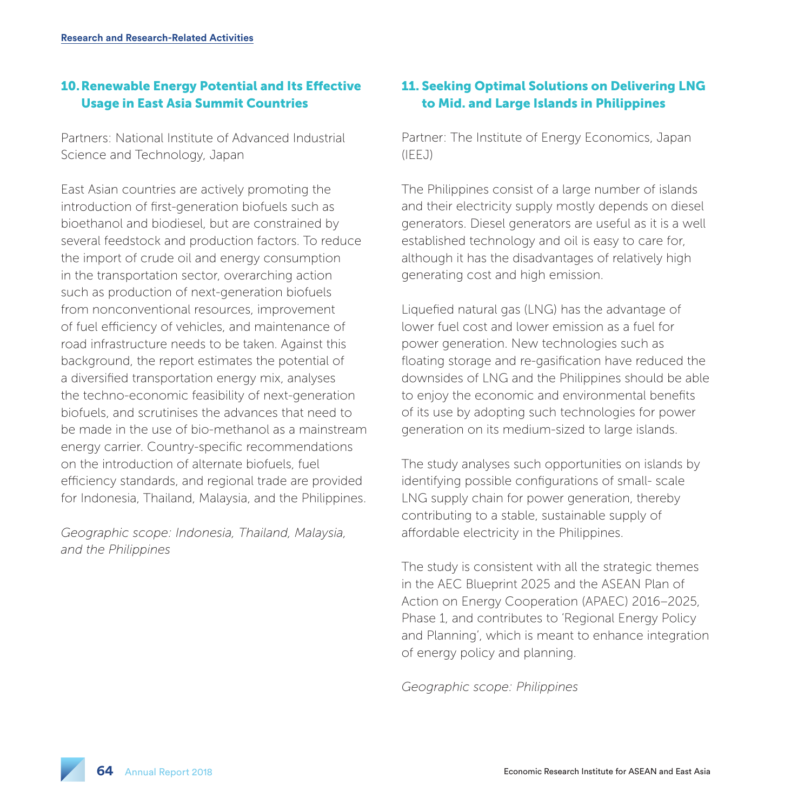# 10.Renewable Energy Potential and Its Effective Usage in East Asia Summit Countries

Partners: National Institute of Advanced Industrial Science and Technology, Japan

East Asian countries are actively promoting the introduction of first-generation biofuels such as bioethanol and biodiesel, but are constrained by several feedstock and production factors. To reduce the import of crude oil and energy consumption in the transportation sector, overarching action such as production of next-generation biofuels from nonconventional resources, improvement of fuel efficiency of vehicles, and maintenance of road infrastructure needs to be taken. Against this background, the report estimates the potential of a diversified transportation energy mix, analyses the techno-economic feasibility of next-generation biofuels, and scrutinises the advances that need to be made in the use of bio-methanol as a mainstream energy carrier. Country-specific recommendations on the introduction of alternate biofuels, fuel efficiency standards, and regional trade are provided for Indonesia, Thailand, Malaysia, and the Philippines.

*Geographic scope: Indonesia, Thailand, Malaysia, and the Philippines*

# 11. Seeking Optimal Solutions on Delivering LNG to Mid. and Large Islands in Philippines

Partner: The Institute of Energy Economics, Japan (IEEJ)

The Philippines consist of a large number of islands and their electricity supply mostly depends on diesel generators. Diesel generators are useful as it is a well established technology and oil is easy to care for, although it has the disadvantages of relatively high generating cost and high emission.

Liquefied natural gas (LNG) has the advantage of lower fuel cost and lower emission as a fuel for power generation. New technologies such as floating storage and re-gasification have reduced the downsides of LNG and the Philippines should be able to enjoy the economic and environmental benefits of its use by adopting such technologies for power generation on its medium-sized to large islands.

The study analyses such opportunities on islands by identifying possible configurations of small- scale LNG supply chain for power generation, thereby contributing to a stable, sustainable supply of affordable electricity in the Philippines.

The study is consistent with all the strategic themes in the AEC Blueprint 2025 and the ASEAN Plan of Action on Energy Cooperation (APAEC) 2016–2025, Phase 1, and contributes to 'Regional Energy Policy and Planning', which is meant to enhance integration of energy policy and planning.

*Geographic scope: Philippines*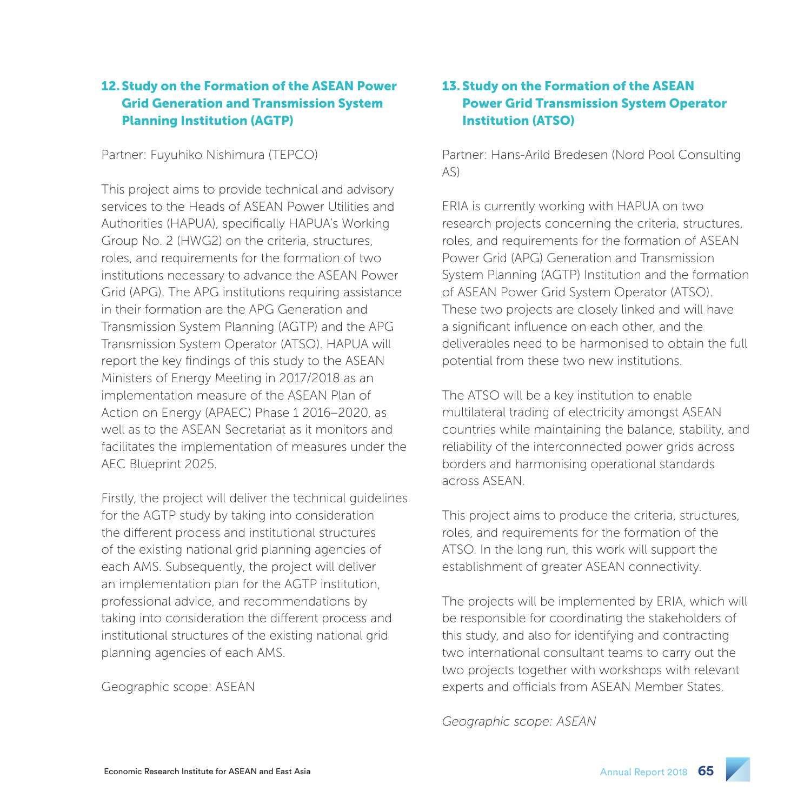# 12.Study on the Formation of the ASEAN Power Grid Generation and Transmission System Planning Institution (AGTP)

Partner: Fuyuhiko Nishimura (TEPCO)

This project aims to provide technical and advisory services to the Heads of ASEAN Power Utilities and Authorities (HAPUA), specifically HAPUA's Working Group No. 2 (HWG2) on the criteria, structures, roles, and requirements for the formation of two institutions necessary to advance the ASEAN Power Grid (APG). The APG institutions requiring assistance in their formation are the APG Generation and Transmission System Planning (AGTP) and the APG Transmission System Operator (ATSO). HAPUA will report the key findings of this study to the ASEAN Ministers of Energy Meeting in 2017/2018 as an implementation measure of the ASEAN Plan of Action on Energy (APAEC) Phase 1 2016–2020, as well as to the ASEAN Secretariat as it monitors and facilitates the implementation of measures under the AEC Blueprint 2025.

Firstly, the project will deliver the technical guidelines for the AGTP study by taking into consideration the different process and institutional structures of the existing national grid planning agencies of each AMS. Subsequently, the project will deliver an implementation plan for the AGTP institution, professional advice, and recommendations by taking into consideration the different process and institutional structures of the existing national grid planning agencies of each AMS.

Geographic scope: ASEAN

# 13. Study on the Formation of the ASEAN Power Grid Transmission System Operator Institution (ATSO)

Partner: Hans-Arild Bredesen (Nord Pool Consulting AS)

ERIA is currently working with HAPUA on two research projects concerning the criteria, structures, roles, and requirements for the formation of ASEAN Power Grid (APG) Generation and Transmission System Planning (AGTP) Institution and the formation of ASEAN Power Grid System Operator (ATSO). These two projects are closely linked and will have a significant influence on each other, and the deliverables need to be harmonised to obtain the full potential from these two new institutions.

The ATSO will be a key institution to enable multilateral trading of electricity amongst ASEAN countries while maintaining the balance, stability, and reliability of the interconnected power grids across borders and harmonising operational standards across ASEAN.

This project aims to produce the criteria, structures, roles, and requirements for the formation of the ATSO. In the long run, this work will support the establishment of greater ASEAN connectivity.

The projects will be implemented by ERIA, which will be responsible for coordinating the stakeholders of this study, and also for identifying and contracting two international consultant teams to carry out the two projects together with workshops with relevant experts and officials from ASEAN Member States.

*Geographic scope: ASEAN*

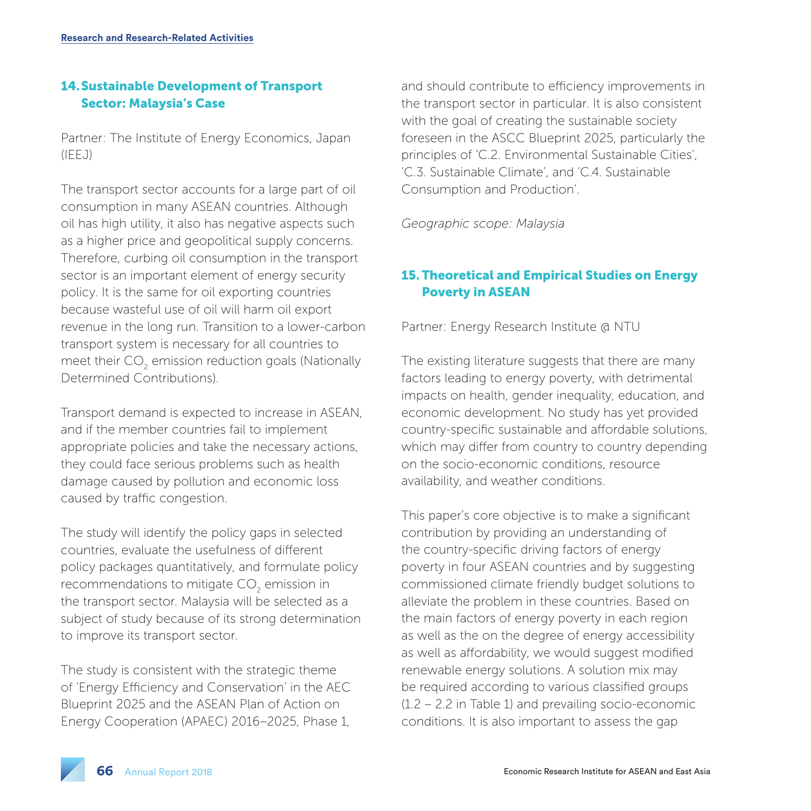# 14.Sustainable Development of Transport Sector: Malaysia's Case

Partner: The Institute of Energy Economics, Japan (IEEJ)

The transport sector accounts for a large part of oil consumption in many ASEAN countries. Although oil has high utility, it also has negative aspects such as a higher price and geopolitical supply concerns. Therefore, curbing oil consumption in the transport sector is an important element of energy security policy. It is the same for oil exporting countries because wasteful use of oil will harm oil export revenue in the long run. Transition to a lower-carbon transport system is necessary for all countries to meet their  $\mathsf{CO}_2$  emission reduction goals (Nationally Determined Contributions).

Transport demand is expected to increase in ASEAN, and if the member countries fail to implement appropriate policies and take the necessary actions, they could face serious problems such as health damage caused by pollution and economic loss caused by traffic congestion.

The study will identify the policy gaps in selected countries, evaluate the usefulness of different policy packages quantitatively, and formulate policy recommendations to mitigate CO<sub>2</sub> emission in the transport sector. Malaysia will be selected as a subject of study because of its strong determination to improve its transport sector.

The study is consistent with the strategic theme of 'Energy Efficiency and Conservation' in the AEC Blueprint 2025 and the ASEAN Plan of Action on Energy Cooperation (APAEC) 2016–2025, Phase 1,

and should contribute to efficiency improvements in the transport sector in particular. It is also consistent with the goal of creating the sustainable society foreseen in the ASCC Blueprint 2025, particularly the principles of 'C.2. Environmental Sustainable Cities', 'C.3. Sustainable Climate', and 'C.4. Sustainable Consumption and Production'.

*Geographic scope: Malaysia*

# 15. Theoretical and Empirical Studies on Energy Poverty in ASEAN

Partner: Energy Research Institute @ NTU

The existing literature suggests that there are many factors leading to energy poverty, with detrimental impacts on health, gender inequality, education, and economic development. No study has yet provided country-specific sustainable and affordable solutions, which may differ from country to country depending on the socio-economic conditions, resource availability, and weather conditions.

This paper's core objective is to make a significant contribution by providing an understanding of the country-specific driving factors of energy poverty in four ASEAN countries and by suggesting commissioned climate friendly budget solutions to alleviate the problem in these countries. Based on the main factors of energy poverty in each region as well as the on the degree of energy accessibility as well as affordability, we would suggest modified renewable energy solutions. A solution mix may be required according to various classified groups (1.2 – 2.2 in Table 1) and prevailing socio-economic conditions. It is also important to assess the gap